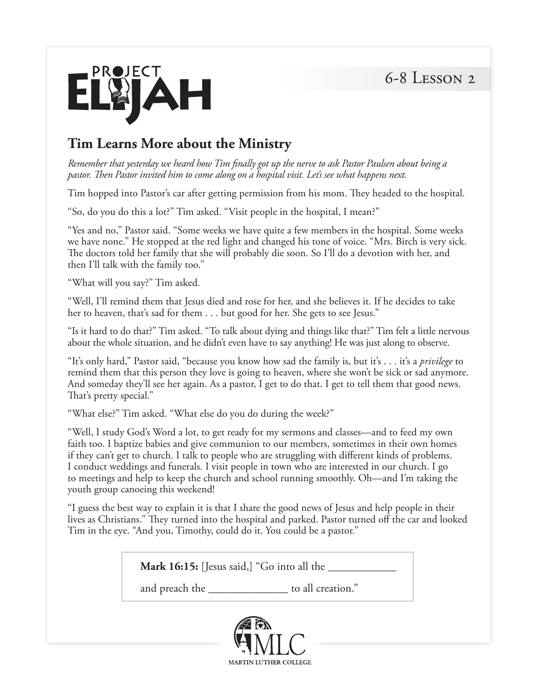

## **Tim Learns More about the Ministry**

*Remember that yesterday we heard how Tim finally got up the nerve to ask Pastor Paulsen about being a pastor. Then Pastor invited him to come along on a hospital visit. Let's see what happens next.*

Tim hopped into Pastor's car after getting permission from his mom. They headed to the hospital.

"So, do you do this a lot?" Tim asked. "Visit people in the hospital, I mean?"

"Yes and no," Pastor said. "Some weeks we have quite a few members in the hospital. Some weeks we have none." He stopped at the red light and changed his tone of voice. "Mrs. Birch is very sick. The doctors told her family that she will probably die soon. So I'll do a devotion with her, and then I'll talk with the family too."

"What will you say?" Tim asked.

"Well, I'll remind them that Jesus died and rose for her, and she believes it. If he decides to take her to heaven, that's sad for them . . . but good for her. She gets to see Jesus."

"Is it hard to do that?" Tim asked. "To talk about dying and things like that?" Tim felt a little nervous about the whole situation, and he didn't even have to say anything! He was just along to observe.

"It's only hard," Pastor said, "because you know how sad the family is, but it's . . . it's a *privilege* to remind them that this person they love is going to heaven, where she won't be sick or sad anymore. And someday they'll see her again. As a pastor, I get to do that. I get to tell them that good news. That's pretty special."

"What else?" Tim asked. "What else do you do during the week?"

"Well, I study God's Word a lot, to get ready for my sermons and classes—and to feed my own faith too. I baptize babies and give communion to our members, sometimes in their own homes if they can't get to church. I talk to people who are struggling with different kinds of problems. I conduct weddings and funerals. I visit people in town who are interested in our church. I go to meetings and help to keep the church and school running smoothly. Oh—and I'm taking the youth group canoeing this weekend!

"I guess the best way to explain it is that I share the good news of Jesus and help people in their lives as Christians." They turned into the hospital and parked. Pastor turned off the car and looked Tim in the eye. "And you, Timothy, could do it. You could be a pastor."

**Mark 16:15:** [Jesus said,] "Go into all the \_\_\_\_\_\_\_\_\_\_\_\_

and preach the \_\_\_\_\_\_\_\_\_\_\_\_\_\_ to all creation."